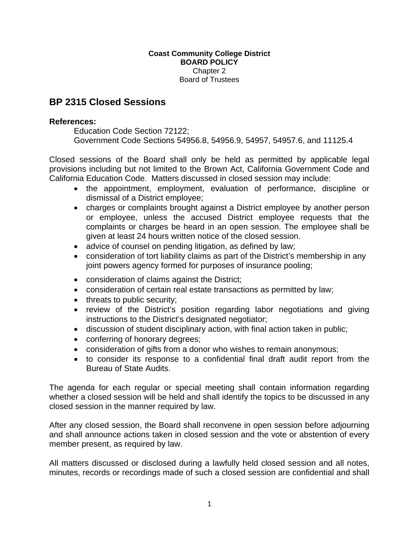## **Coast Community College District BOARD POLICY**  Chapter 2 Board of Trustees

## **BP 2315 Closed Sessions**

## **References:**

Education Code Section 72122; Government Code Sections 54956.8, 54956.9, 54957, 54957.6, and 11125.4

Closed sessions of the Board shall only be held as permitted by applicable legal provisions including but not limited to the Brown Act, California Government Code and California Education Code. Matters discussed in closed session may include:

- the appointment, employment, evaluation of performance, discipline or dismissal of a District employee;
- charges or complaints brought against a District employee by another person or employee, unless the accused District employee requests that the complaints or charges be heard in an open session. The employee shall be given at least 24 hours written notice of the closed session.
- advice of counsel on pending litigation, as defined by law;
- consideration of tort liability claims as part of the District's membership in any joint powers agency formed for purposes of insurance pooling;
- consideration of claims against the District;
- consideration of certain real estate transactions as permitted by law;
- threats to public security;
- review of the District's position regarding labor negotiations and giving instructions to the District's designated negotiator;
- discussion of student disciplinary action, with final action taken in public;
- conferring of honorary degrees;
- consideration of gifts from a donor who wishes to remain anonymous;
- to consider its response to a confidential final draft audit report from the Bureau of State Audits.

The agenda for each regular or special meeting shall contain information regarding whether a closed session will be held and shall identify the topics to be discussed in any closed session in the manner required by law.

After any closed session, the Board shall reconvene in open session before adjourning and shall announce actions taken in closed session and the vote or abstention of every member present, as required by law.

All matters discussed or disclosed during a lawfully held closed session and all notes, minutes, records or recordings made of such a closed session are confidential and shall